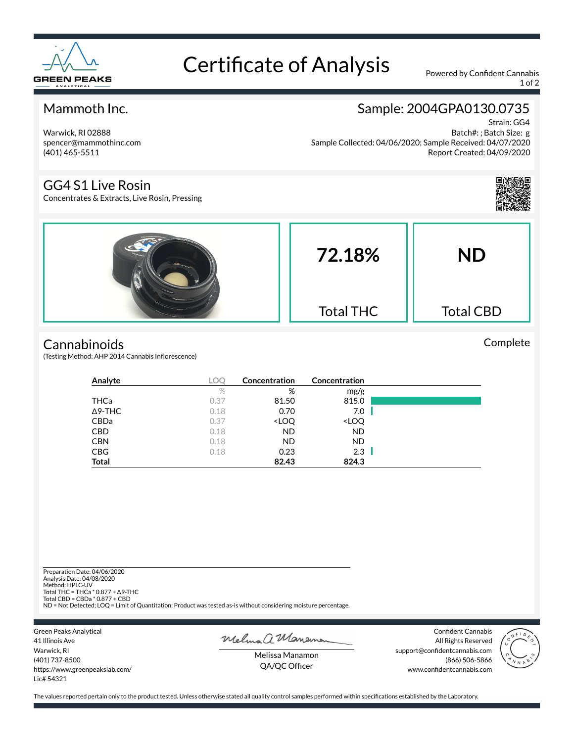

# Certificate of Analysis Powered by Confident Cannabis

1 of 2

#### Mammoth Inc.

### Sample: 2004GPA0130.0735

Warwick, RI 02888 spencer@mammothinc.com (401) 465-5511

GG4 S1 Live Rosin

Concentrates & Extracts, Live Rosin, Pressing

Strain: GG4 Batch#: ; Batch Size: g Sample Collected: 04/06/2020; Sample Received: 04/07/2020 Report Created: 04/09/2020

Complete



## **Cannabinoids**

(Testing Method: AHP 2014 Cannabis Inflorescence)

| Analyte        | LOC  | <b>Concentration</b>                                     | Concentration                |  |
|----------------|------|----------------------------------------------------------|------------------------------|--|
|                | %    | %                                                        | mg/g                         |  |
| THCa           | 0.37 | 81.50                                                    | 815.0                        |  |
| $\Delta$ 9-THC | 0.18 | 0.70                                                     | 7.0                          |  |
| <b>CBDa</b>    | 0.37 | <loq< th=""><th><loq< th=""><th></th></loq<></th></loq<> | <loq< th=""><th></th></loq<> |  |
| <b>CBD</b>     | 0.18 | <b>ND</b>                                                | <b>ND</b>                    |  |
| <b>CBN</b>     | 0.18 | ND.                                                      | <b>ND</b>                    |  |
| <b>CBG</b>     | 0.18 | 0.23                                                     | 2.3                          |  |
| <b>Total</b>   |      | 82.43                                                    | 824.3                        |  |

Preparation Date: 04/06/2020 Analysis Date: 04/08/2020 Method: HPLC-UV Total THC = THCa \* 0.877 + ∆9-THC Total CBD = CBDa \* 0.877 + CBD ND = Not Detected; LOQ = Limit of Quantitation; Product was tested as-is without considering moisture percentage.

Green Peaks Analytical 41 Illinois Ave Warwick, RI (401) 737-8500 https://www.greenpeakslab.com/ Lic# 54321

Melma a Maneman

Confident Cannabis All Rights Reserved support@confidentcannabis.com (866) 506-5866 www.confidentcannabis.com



Melissa Manamon QA/QC Officer

The values reported pertain only to the product tested. Unless otherwise stated all quality control samples performed within specifications established by the Laboratory.